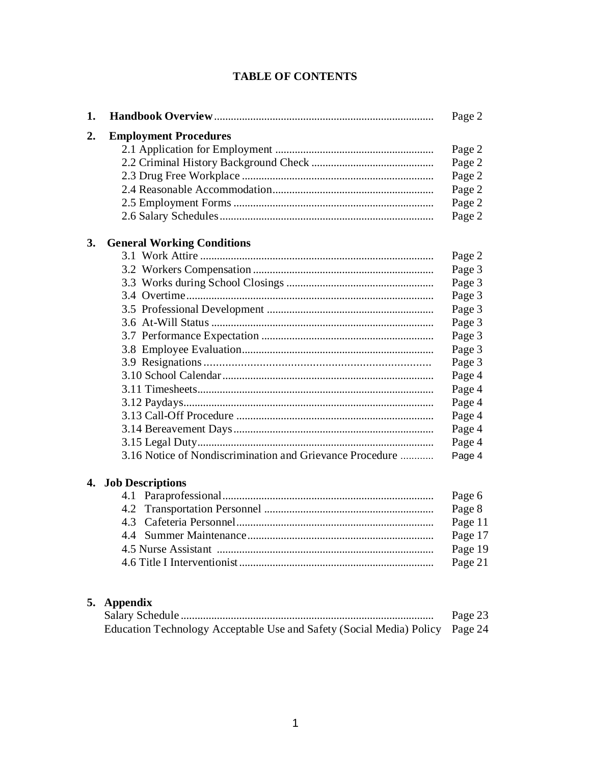### **TABLE OF CONTENTS**

| 1. |                                                          | Page 2  |
|----|----------------------------------------------------------|---------|
| 2. | <b>Employment Procedures</b>                             |         |
|    |                                                          | Page 2  |
|    |                                                          | Page 2  |
|    |                                                          | Page 2  |
|    |                                                          | Page 2  |
|    |                                                          | Page 2  |
|    |                                                          | Page 2  |
| 3. | <b>General Working Conditions</b>                        |         |
|    |                                                          | Page 2  |
|    |                                                          | Page 3  |
|    |                                                          | Page 3  |
|    |                                                          | Page 3  |
|    |                                                          | Page 3  |
|    |                                                          | Page 3  |
|    |                                                          | Page 3  |
|    |                                                          | Page 3  |
|    |                                                          | Page 3  |
|    |                                                          | Page 4  |
|    |                                                          | Page 4  |
|    |                                                          | Page 4  |
|    |                                                          | Page 4  |
|    |                                                          | Page 4  |
|    |                                                          | Page 4  |
|    | 3.16 Notice of Nondiscrimination and Grievance Procedure | Page 4  |
|    | 4. Job Descriptions                                      |         |
|    | 4.1                                                      | Page 6  |
|    |                                                          | Page 8  |
|    | 4.3                                                      | Page 11 |
|    |                                                          | Page 17 |
|    |                                                          | Page 19 |
|    |                                                          | Page 21 |
|    |                                                          |         |
|    | 5. Appendix                                              |         |

#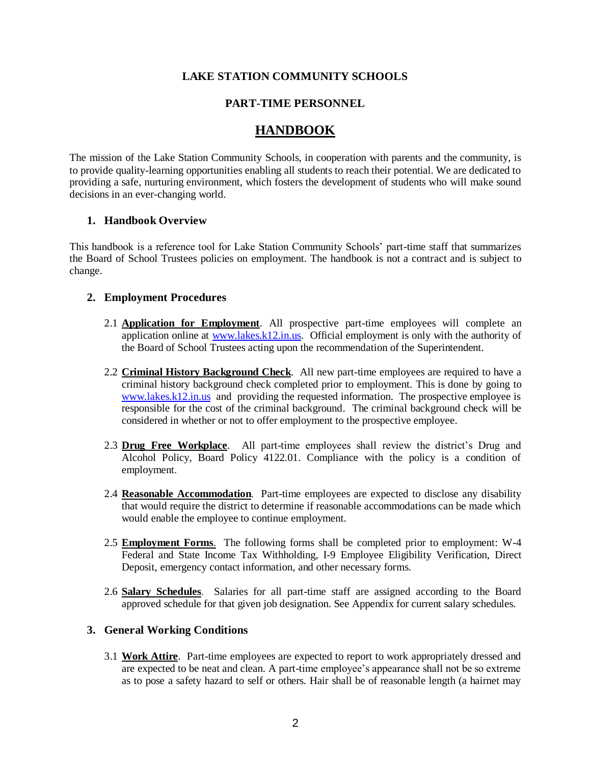### **LAKE STATION COMMUNITY SCHOOLS**

### **PART-TIME PERSONNEL**

### **HANDBOOK**

The mission of the Lake Station Community Schools, in cooperation with parents and the community, is to provide quality-learning opportunities enabling all students to reach their potential. We are dedicated to providing a safe, nurturing environment, which fosters the development of students who will make sound decisions in an ever-changing world.

### **1. Handbook Overview**

This handbook is a reference tool for Lake Station Community Schools' part-time staff that summarizes the Board of School Trustees policies on employment. The handbook is not a contract and is subject to change.

### **2. Employment Procedures**

- 2.1 **Application for Employment**. All prospective part-time employees will complete an application online at [www.lakes.k12.in.us.](http://www.lakes.k12.in.us/) Official employment is only with the authority of the Board of School Trustees acting upon the recommendation of the Superintendent.
- 2.2 **Criminal History Background Check**. All new part-time employees are required to have a criminal history background check completed prior to employment. This is done by going to [www.lakes.k12.in.us](http://www.lakes.k12.in.us/) and providing the requested information. The prospective employee is responsible for the cost of the criminal background. The criminal background check will be considered in whether or not to offer employment to the prospective employee.
- 2.3 **Drug Free Workplace**. All part-time employees shall review the district's Drug and Alcohol Policy, Board Policy 4122.01. Compliance with the policy is a condition of employment.
- 2.4 **Reasonable Accommodation**. Part-time employees are expected to disclose any disability that would require the district to determine if reasonable accommodations can be made which would enable the employee to continue employment.
- 2.5 **Employment Forms**. The following forms shall be completed prior to employment: W-4 Federal and State Income Tax Withholding, I-9 Employee Eligibility Verification, Direct Deposit, emergency contact information, and other necessary forms.
- 2.6 **Salary Schedules**. Salaries for all part-time staff are assigned according to the Board approved schedule for that given job designation. See Appendix for current salary schedules.

### **3. General Working Conditions**

3.1 **Work Attire**. Part-time employees are expected to report to work appropriately dressed and are expected to be neat and clean. A part-time employee's appearance shall not be so extreme as to pose a safety hazard to self or others. Hair shall be of reasonable length (a hairnet may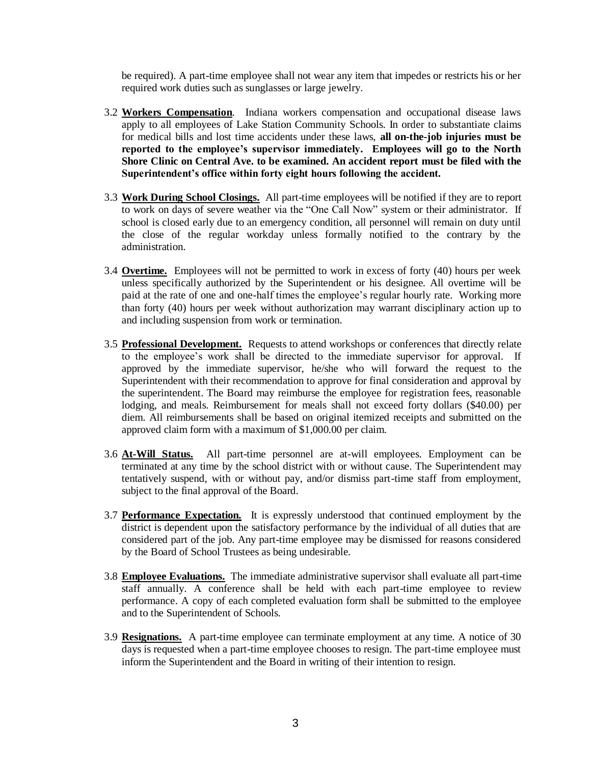be required). A part-time employee shall not wear any item that impedes or restricts his or her required work duties such as sunglasses or large jewelry.

- 3.2 **Workers Compensation**. Indiana workers compensation and occupational disease laws apply to all employees of Lake Station Community Schools. In order to substantiate claims for medical bills and lost time accidents under these laws, **all on-the-job injuries must be reported to the employee's supervisor immediately. Employees will go to the North Shore Clinic on Central Ave. to be examined. An accident report must be filed with the Superintendent's office within forty eight hours following the accident.**
- 3.3 **Work During School Closings.** All part-time employees will be notified if they are to report to work on days of severe weather via the "One Call Now" system or their administrator. If school is closed early due to an emergency condition, all personnel will remain on duty until the close of the regular workday unless formally notified to the contrary by the administration.
- 3.4 **Overtime.** Employees will not be permitted to work in excess of forty (40) hours per week unless specifically authorized by the Superintendent or his designee. All overtime will be paid at the rate of one and one-half times the employee's regular hourly rate. Working more than forty (40) hours per week without authorization may warrant disciplinary action up to and including suspension from work or termination.
- 3.5 **Professional Development.** Requests to attend workshops or conferences that directly relate to the employee's work shall be directed to the immediate supervisor for approval. If approved by the immediate supervisor, he/she who will forward the request to the Superintendent with their recommendation to approve for final consideration and approval by the superintendent. The Board may reimburse the employee for registration fees, reasonable lodging, and meals. Reimbursement for meals shall not exceed forty dollars (\$40.00) per diem. All reimbursements shall be based on original itemized receipts and submitted on the approved claim form with a maximum of \$1,000.00 per claim.
- 3.6 **At-Will Status.** All part-time personnel are at-will employees. Employment can be terminated at any time by the school district with or without cause. The Superintendent may tentatively suspend, with or without pay, and/or dismiss part-time staff from employment, subject to the final approval of the Board.
- 3.7 **Performance Expectation.** It is expressly understood that continued employment by the district is dependent upon the satisfactory performance by the individual of all duties that are considered part of the job. Any part-time employee may be dismissed for reasons considered by the Board of School Trustees as being undesirable.
- 3.8 **Employee Evaluations.** The immediate administrative supervisor shall evaluate all part-time staff annually. A conference shall be held with each part-time employee to review performance. A copy of each completed evaluation form shall be submitted to the employee and to the Superintendent of Schools.
- 3.9 **Resignations.** A part-time employee can terminate employment at any time. A notice of 30 days is requested when a part-time employee chooses to resign. The part-time employee must inform the Superintendent and the Board in writing of their intention to resign.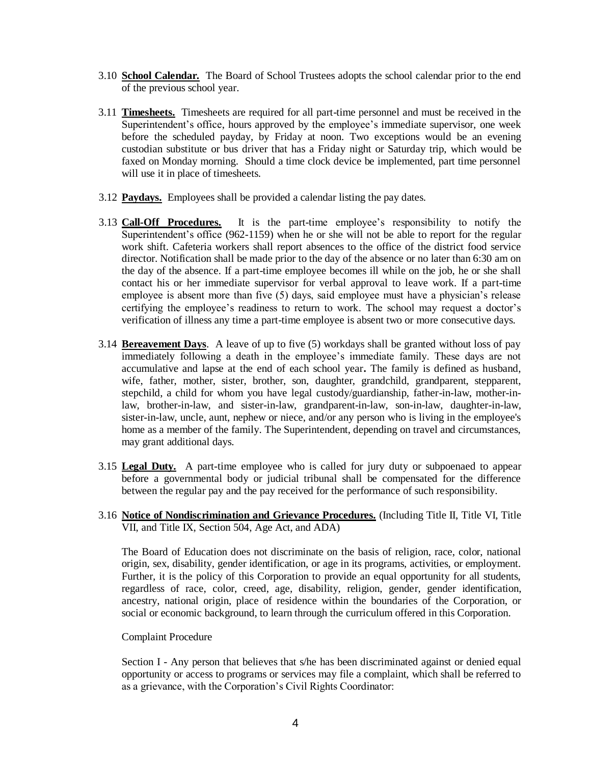- 3.10 **School Calendar.** The Board of School Trustees adopts the school calendar prior to the end of the previous school year.
- 3.11 **Timesheets.** Timesheets are required for all part-time personnel and must be received in the Superintendent's office, hours approved by the employee's immediate supervisor, one week before the scheduled payday, by Friday at noon. Two exceptions would be an evening custodian substitute or bus driver that has a Friday night or Saturday trip, which would be faxed on Monday morning. Should a time clock device be implemented, part time personnel will use it in place of timesheets.
- 3.12 **Paydays.** Employees shall be provided a calendar listing the pay dates.
- 3.13 **Call-Off Procedures.** It is the part-time employee's responsibility to notify the Superintendent's office (962-1159) when he or she will not be able to report for the regular work shift. Cafeteria workers shall report absences to the office of the district food service director. Notification shall be made prior to the day of the absence or no later than 6:30 am on the day of the absence. If a part-time employee becomes ill while on the job, he or she shall contact his or her immediate supervisor for verbal approval to leave work. If a part-time employee is absent more than five (5) days, said employee must have a physician's release certifying the employee's readiness to return to work. The school may request a doctor's verification of illness any time a part-time employee is absent two or more consecutive days.
- 3.14 **Bereavement Days**. A leave of up to five (5) workdays shall be granted without loss of pay immediately following a death in the employee's immediate family. These days are not accumulative and lapse at the end of each school year**.** The family is defined as husband, wife, father, mother, sister, brother, son, daughter, grandchild, grandparent, stepparent, stepchild, a child for whom you have legal custody/guardianship, father-in-law, mother-inlaw, brother-in-law, and sister-in-law, grandparent-in-law, son-in-law, daughter-in-law, sister-in-law, uncle, aunt, nephew or niece, and/or any person who is living in the employee's home as a member of the family. The Superintendent, depending on travel and circumstances, may grant additional days.
- 3.15 **Legal Duty.** A part-time employee who is called for jury duty or subpoenaed to appear before a governmental body or judicial tribunal shall be compensated for the difference between the regular pay and the pay received for the performance of such responsibility.
- 3.16 **Notice of Nondiscrimination and Grievance Procedures.** (Including Title II, Title VI, Title VII, and Title IX, Section 504, Age Act, and ADA)

The Board of Education does not discriminate on the basis of religion, race, color, national origin, sex, disability, gender identification, or age in its programs, activities, or employment. Further, it is the policy of this Corporation to provide an equal opportunity for all students, regardless of race, color, creed, age, disability, religion, gender, gender identification, ancestry, national origin, place of residence within the boundaries of the Corporation, or social or economic background, to learn through the curriculum offered in this Corporation.

### Complaint Procedure

Section I - Any person that believes that s/he has been discriminated against or denied equal opportunity or access to programs or services may file a complaint, which shall be referred to as a grievance, with the Corporation's Civil Rights Coordinator: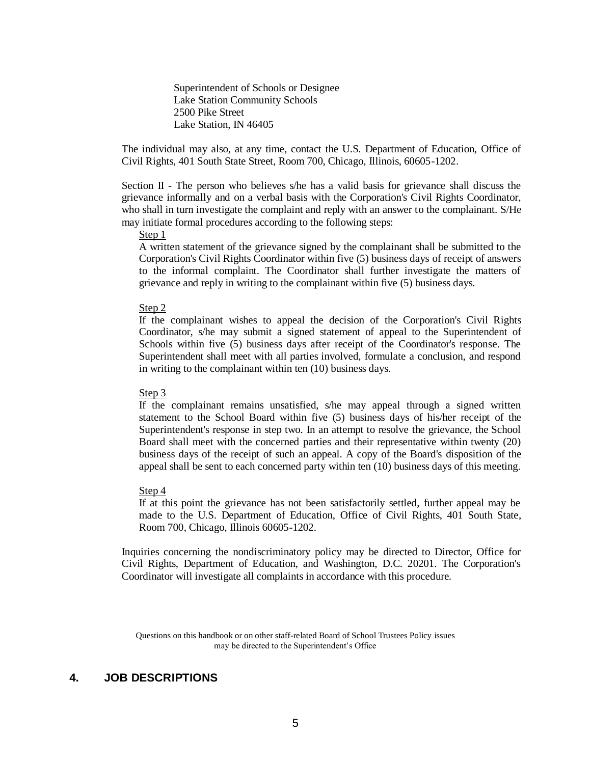Superintendent of Schools or Designee Lake Station Community Schools 2500 Pike Street Lake Station, IN 46405

The individual may also, at any time, contact the U.S. Department of Education, Office of Civil Rights, 401 South State Street, Room 700, Chicago, Illinois, 60605-1202.

Section II - The person who believes s/he has a valid basis for grievance shall discuss the grievance informally and on a verbal basis with the Corporation's Civil Rights Coordinator, who shall in turn investigate the complaint and reply with an answer to the complainant. S/He may initiate formal procedures according to the following steps:

Step 1

A written statement of the grievance signed by the complainant shall be submitted to the Corporation's Civil Rights Coordinator within five (5) business days of receipt of answers to the informal complaint. The Coordinator shall further investigate the matters of grievance and reply in writing to the complainant within five (5) business days.

Step 2

If the complainant wishes to appeal the decision of the Corporation's Civil Rights Coordinator, s/he may submit a signed statement of appeal to the Superintendent of Schools within five (5) business days after receipt of the Coordinator's response. The Superintendent shall meet with all parties involved, formulate a conclusion, and respond in writing to the complainant within ten (10) business days.

#### Step 3

If the complainant remains unsatisfied, s/he may appeal through a signed written statement to the School Board within five (5) business days of his/her receipt of the Superintendent's response in step two. In an attempt to resolve the grievance, the School Board shall meet with the concerned parties and their representative within twenty (20) business days of the receipt of such an appeal. A copy of the Board's disposition of the appeal shall be sent to each concerned party within ten (10) business days of this meeting.

#### Step 4

If at this point the grievance has not been satisfactorily settled, further appeal may be made to the U.S. Department of Education, Office of Civil Rights, 401 South State, Room 700, Chicago, Illinois 60605-1202.

Inquiries concerning the nondiscriminatory policy may be directed to Director, Office for Civil Rights, Department of Education, and Washington, D.C. 20201. The Corporation's Coordinator will investigate all complaints in accordance with this procedure.

Questions on this handbook or on other staff-related Board of School Trustees Policy issues may be directed to the Superintendent's Office

### **4. JOB DESCRIPTIONS**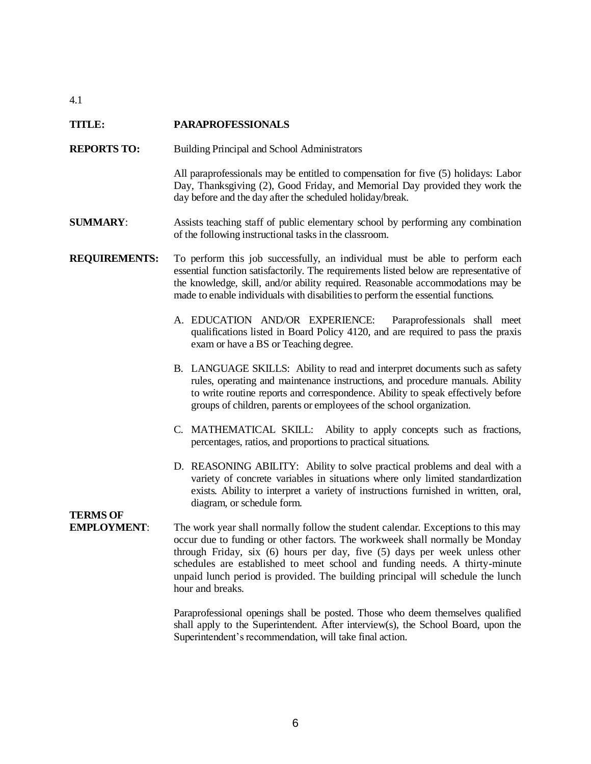### **TITLE: PARAPROFESSIONALS**

- **REPORTS TO:** Building Principal and School Administrators
	- All paraprofessionals may be entitled to compensation for five (5) holidays: Labor Day, Thanksgiving (2), Good Friday, and Memorial Day provided they work the day before and the day after the scheduled holiday/break.
- **SUMMARY**: Assists teaching staff of public elementary school by performing any combination of the following instructional tasks in the classroom.

### **REQUIREMENTS:** To perform this job successfully, an individual must be able to perform each essential function satisfactorily. The requirements listed below are representative of the knowledge, skill, and/or ability required. Reasonable accommodations may be made to enable individuals with disabilities to perform the essential functions.

- A. EDUCATION AND/OR EXPERIENCE: Paraprofessionals shall meet qualifications listed in Board Policy 4120, and are required to pass the praxis exam or have a BS or Teaching degree.
- B. LANGUAGE SKILLS: Ability to read and interpret documents such as safety rules, operating and maintenance instructions, and procedure manuals. Ability to write routine reports and correspondence. Ability to speak effectively before groups of children, parents or employees of the school organization.
- C. MATHEMATICAL SKILL: Ability to apply concepts such as fractions, percentages, ratios, and proportions to practical situations.
- D. REASONING ABILITY: Ability to solve practical problems and deal with a variety of concrete variables in situations where only limited standardization exists. Ability to interpret a variety of instructions furnished in written, oral, diagram, or schedule form.

### **TERMS OF**

**EMPLOYMENT:** The work year shall normally follow the student calendar. Exceptions to this may occur due to funding or other factors. The workweek shall normally be Monday through Friday, six (6) hours per day, five (5) days per week unless other schedules are established to meet school and funding needs. A thirty-minute unpaid lunch period is provided. The building principal will schedule the lunch hour and breaks.

> Paraprofessional openings shall be posted. Those who deem themselves qualified shall apply to the Superintendent. After interview(s), the School Board, upon the Superintendent's recommendation, will take final action.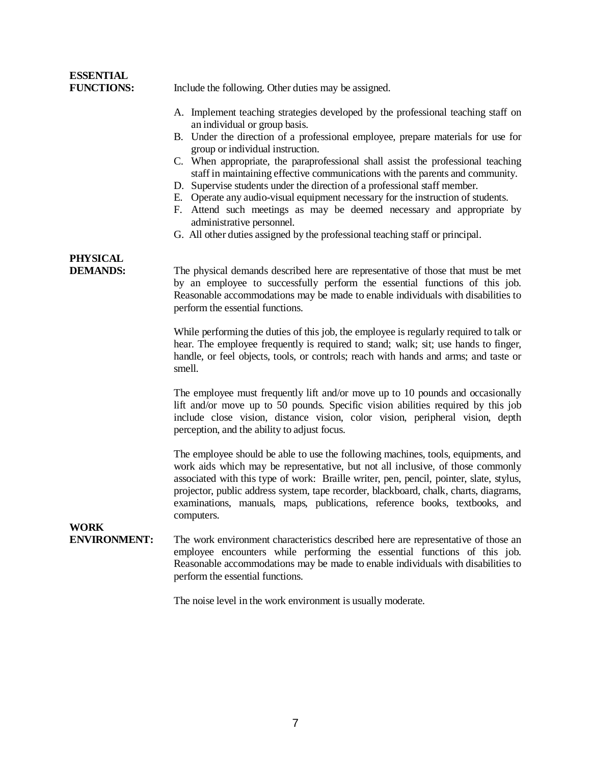| <b>ESSENTIAL</b><br><b>FUNCTIONS:</b> | Include the following. Other duties may be assigned.                                                                                                                                                                                                                                                                                                                                                                                                                                                                                                                                                                                                                                                                                                                      |  |  |  |  |
|---------------------------------------|---------------------------------------------------------------------------------------------------------------------------------------------------------------------------------------------------------------------------------------------------------------------------------------------------------------------------------------------------------------------------------------------------------------------------------------------------------------------------------------------------------------------------------------------------------------------------------------------------------------------------------------------------------------------------------------------------------------------------------------------------------------------------|--|--|--|--|
|                                       | A. Implement teaching strategies developed by the professional teaching staff on<br>an individual or group basis.<br>B. Under the direction of a professional employee, prepare materials for use for<br>group or individual instruction.<br>C. When appropriate, the paraprofessional shall assist the professional teaching<br>staff in maintaining effective communications with the parents and community.<br>Supervise students under the direction of a professional staff member.<br>D.<br>E. Operate any audio-visual equipment necessary for the instruction of students.<br>F. Attend such meetings as may be deemed necessary and appropriate by<br>administrative personnel.<br>G. All other duties assigned by the professional teaching staff or principal. |  |  |  |  |
| PHYSICAL<br><b>DEMANDS:</b>           | The physical demands described here are representative of those that must be met<br>by an employee to successfully perform the essential functions of this job.<br>Reasonable accommodations may be made to enable individuals with disabilities to<br>perform the essential functions.                                                                                                                                                                                                                                                                                                                                                                                                                                                                                   |  |  |  |  |
|                                       | While performing the duties of this job, the employee is regularly required to talk or<br>hear. The employee frequently is required to stand; walk; sit; use hands to finger,<br>handle, or feel objects, tools, or controls; reach with hands and arms; and taste or<br>smell.                                                                                                                                                                                                                                                                                                                                                                                                                                                                                           |  |  |  |  |
|                                       | The employee must frequently lift and/or move up to 10 pounds and occasionally<br>lift and/or move up to 50 pounds. Specific vision abilities required by this job<br>include close vision, distance vision, color vision, peripheral vision, depth<br>perception, and the ability to adjust focus.                                                                                                                                                                                                                                                                                                                                                                                                                                                                       |  |  |  |  |
|                                       | The employee should be able to use the following machines, tools, equipments, and<br>work aids which may be representative, but not all inclusive, of those commonly<br>associated with this type of work: Braille writer, pen, pencil, pointer, slate, stylus,<br>projector, public address system, tape recorder, blackboard, chalk, charts, diagrams,<br>examinations, manuals, maps, publications, reference books, textbooks, and<br>computers.                                                                                                                                                                                                                                                                                                                      |  |  |  |  |
| WORK<br><b>ENVIRONMENT:</b>           | The work environment characteristics described here are representative of those an<br>employee encounters while performing the essential functions of this job.<br>Reasonable accommodations may be made to enable individuals with disabilities to<br>perform the essential functions.                                                                                                                                                                                                                                                                                                                                                                                                                                                                                   |  |  |  |  |
|                                       | The noise level in the work environment is usually moderate.                                                                                                                                                                                                                                                                                                                                                                                                                                                                                                                                                                                                                                                                                                              |  |  |  |  |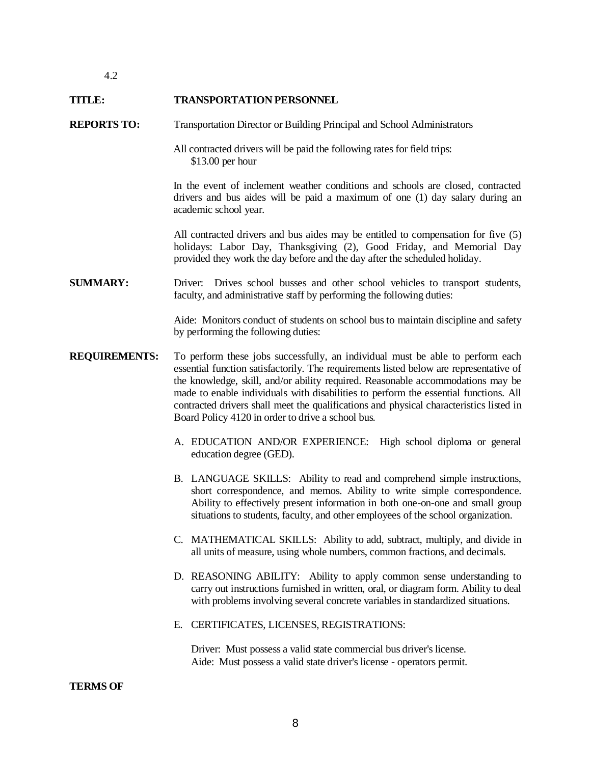#### **TITLE: TRANSPORTATION PERSONNEL**

#### **REPORTS TO:** Transportation Director or Building Principal and School Administrators

All contracted drivers will be paid the following rates for field trips: \$13.00 per hour

In the event of inclement weather conditions and schools are closed, contracted drivers and bus aides will be paid a maximum of one (1) day salary during an academic school year.

All contracted drivers and bus aides may be entitled to compensation for five (5) holidays: Labor Day, Thanksgiving (2), Good Friday, and Memorial Day provided they work the day before and the day after the scheduled holiday.

### **SUMMARY:** Driver: Drives school busses and other school vehicles to transport students, faculty, and administrative staff by performing the following duties:

Aide: Monitors conduct of students on school bus to maintain discipline and safety by performing the following duties:

- **REQUIREMENTS:** To perform these jobs successfully, an individual must be able to perform each essential function satisfactorily. The requirements listed below are representative of the knowledge, skill, and/or ability required. Reasonable accommodations may be made to enable individuals with disabilities to perform the essential functions. All contracted drivers shall meet the qualifications and physical characteristics listed in Board Policy 4120 in order to drive a school bus.
	- A. EDUCATION AND/OR EXPERIENCE: High school diploma or general education degree (GED).
	- B. LANGUAGE SKILLS: Ability to read and comprehend simple instructions, short correspondence, and memos. Ability to write simple correspondence. Ability to effectively present information in both one-on-one and small group situations to students, faculty, and other employees of the school organization.
	- C. MATHEMATICAL SKILLS: Ability to add, subtract, multiply, and divide in all units of measure, using whole numbers, common fractions, and decimals.
	- D. REASONING ABILITY: Ability to apply common sense understanding to carry out instructions furnished in written, oral, or diagram form. Ability to deal with problems involving several concrete variables in standardized situations.
	- E. CERTIFICATES, LICENSES, REGISTRATIONS:

Driver: Must possess a valid state commercial bus driver's license. Aide: Must possess a valid state driver's license - operators permit.

### **TERMS OF**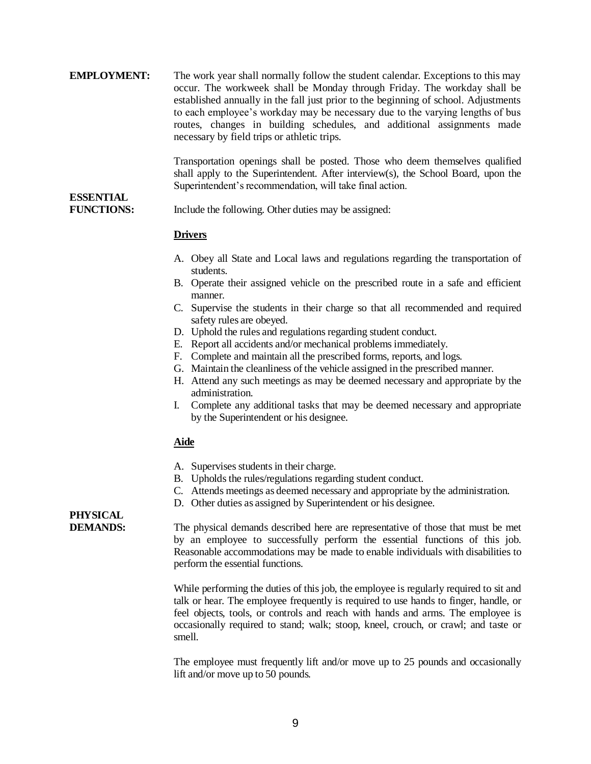| <b>EMPLOYMENT:</b> | The work year shall normally follow the student calendar. Exceptions to this may<br>occur. The workweek shall be Monday through Friday. The workday shall be<br>established annually in the fall just prior to the beginning of school. Adjustments<br>to each employee's workday may be necessary due to the varying lengths of bus<br>routes, changes in building schedules, and additional assignments made<br>necessary by field trips or athletic trips. |  |  |  |  |
|--------------------|---------------------------------------------------------------------------------------------------------------------------------------------------------------------------------------------------------------------------------------------------------------------------------------------------------------------------------------------------------------------------------------------------------------------------------------------------------------|--|--|--|--|
| <b>ESSENTIAL</b>   | Transportation openings shall be posted. Those who deem themselves qualified<br>shall apply to the Superintendent. After interview(s), the School Board, upon the<br>Superintendent's recommendation, will take final action.                                                                                                                                                                                                                                 |  |  |  |  |
|                    |                                                                                                                                                                                                                                                                                                                                                                                                                                                               |  |  |  |  |
| <b>FINCTIONS.</b>  | Include the following Other duties may be assigned:                                                                                                                                                                                                                                                                                                                                                                                                           |  |  |  |  |

**FUNCTIONS:** Include the following. Other duties may be assigned:

### **Drivers**

- A. Obey all State and Local laws and regulations regarding the transportation of students.
- B. Operate their assigned vehicle on the prescribed route in a safe and efficient manner.
- C. Supervise the students in their charge so that all recommended and required safety rules are obeyed.
- D. Uphold the rules and regulations regarding student conduct.
- E. Report all accidents and/or mechanical problems immediately.
- F. Complete and maintain all the prescribed forms, reports, and logs.
- G. Maintain the cleanliness of the vehicle assigned in the prescribed manner.
- H. Attend any such meetings as may be deemed necessary and appropriate by the administration.
- I. Complete any additional tasks that may be deemed necessary and appropriate by the Superintendent or his designee.

### **Aide**

- A. Supervises students in their charge.
- B. Upholds the rules/regulations regarding student conduct.
- C. Attends meetings as deemed necessary and appropriate by the administration.
- D. Other duties as assigned by Superintendent or his designee.

# **PHYSICAL**

**DEMANDS:** The physical demands described here are representative of those that must be met by an employee to successfully perform the essential functions of this job. Reasonable accommodations may be made to enable individuals with disabilities to perform the essential functions.

> While performing the duties of this job, the employee is regularly required to sit and talk or hear. The employee frequently is required to use hands to finger, handle, or feel objects, tools, or controls and reach with hands and arms. The employee is occasionally required to stand; walk; stoop, kneel, crouch, or crawl; and taste or smell.

> The employee must frequently lift and/or move up to 25 pounds and occasionally lift and/or move up to 50 pounds.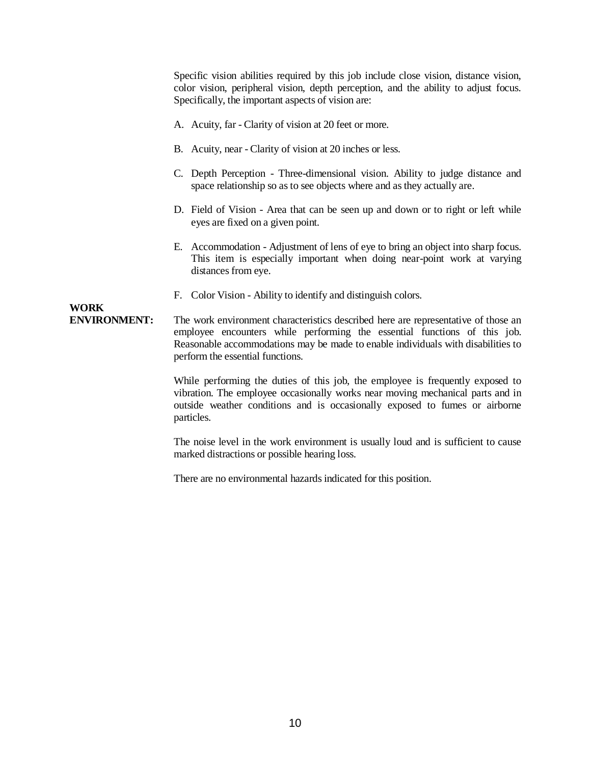Specific vision abilities required by this job include close vision, distance vision, color vision, peripheral vision, depth perception, and the ability to adjust focus. Specifically, the important aspects of vision are:

- A. Acuity, far Clarity of vision at 20 feet or more.
- B. Acuity, near Clarity of vision at 20 inches or less.
- C. Depth Perception Three-dimensional vision. Ability to judge distance and space relationship so as to see objects where and as they actually are.
- D. Field of Vision Area that can be seen up and down or to right or left while eyes are fixed on a given point.
- E. Accommodation Adjustment of lens of eye to bring an object into sharp focus. This item is especially important when doing near-point work at varying distances from eye.
- F. Color Vision Ability to identify and distinguish colors.

### **WORK**

**ENVIRONMENT:** The work environment characteristics described here are representative of those an employee encounters while performing the essential functions of this job. Reasonable accommodations may be made to enable individuals with disabilities to perform the essential functions.

> While performing the duties of this job, the employee is frequently exposed to vibration. The employee occasionally works near moving mechanical parts and in outside weather conditions and is occasionally exposed to fumes or airborne particles.

> The noise level in the work environment is usually loud and is sufficient to cause marked distractions or possible hearing loss.

There are no environmental hazards indicated for this position.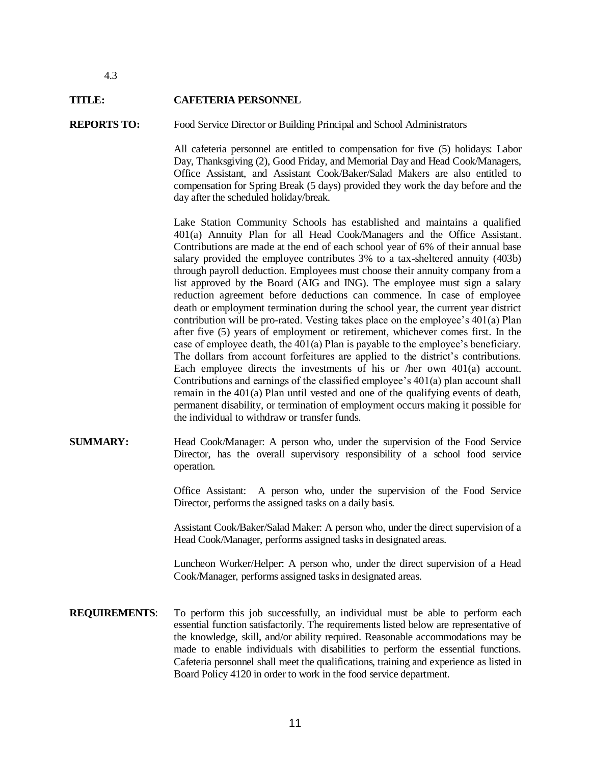#### **TITLE: CAFETERIA PERSONNEL**

#### **REPORTS TO:** Food Service Director or Building Principal and School Administrators

All cafeteria personnel are entitled to compensation for five (5) holidays: Labor Day, Thanksgiving (2), Good Friday, and Memorial Day and Head Cook/Managers, Office Assistant, and Assistant Cook/Baker/Salad Makers are also entitled to compensation for Spring Break (5 days) provided they work the day before and the day after the scheduled holiday/break.

Lake Station Community Schools has established and maintains a qualified 401(a) Annuity Plan for all Head Cook/Managers and the Office Assistant. Contributions are made at the end of each school year of 6% of their annual base salary provided the employee contributes 3% to a tax-sheltered annuity (403b) through payroll deduction. Employees must choose their annuity company from a list approved by the Board (AIG and ING). The employee must sign a salary reduction agreement before deductions can commence. In case of employee death or employment termination during the school year, the current year district contribution will be pro-rated. Vesting takes place on the employee's 401(a) Plan after five (5) years of employment or retirement, whichever comes first. In the case of employee death, the 401(a) Plan is payable to the employee's beneficiary. The dollars from account forfeitures are applied to the district's contributions. Each employee directs the investments of his or /her own 401(a) account. Contributions and earnings of the classified employee's 401(a) plan account shall remain in the 401(a) Plan until vested and one of the qualifying events of death, permanent disability, or termination of employment occurs making it possible for the individual to withdraw or transfer funds.

**SUMMARY:** Head Cook/Manager: A person who, under the supervision of the Food Service Director, has the overall supervisory responsibility of a school food service operation.

> Office Assistant: A person who, under the supervision of the Food Service Director, performs the assigned tasks on a daily basis.

> Assistant Cook/Baker/Salad Maker: A person who, under the direct supervision of a Head Cook/Manager, performs assigned tasks in designated areas.

> Luncheon Worker/Helper: A person who, under the direct supervision of a Head Cook/Manager, performs assigned tasks in designated areas.

**REQUIREMENTS:** To perform this job successfully, an individual must be able to perform each essential function satisfactorily. The requirements listed below are representative of the knowledge, skill, and/or ability required. Reasonable accommodations may be made to enable individuals with disabilities to perform the essential functions. Cafeteria personnel shall meet the qualifications, training and experience as listed in Board Policy 4120 in order to work in the food service department.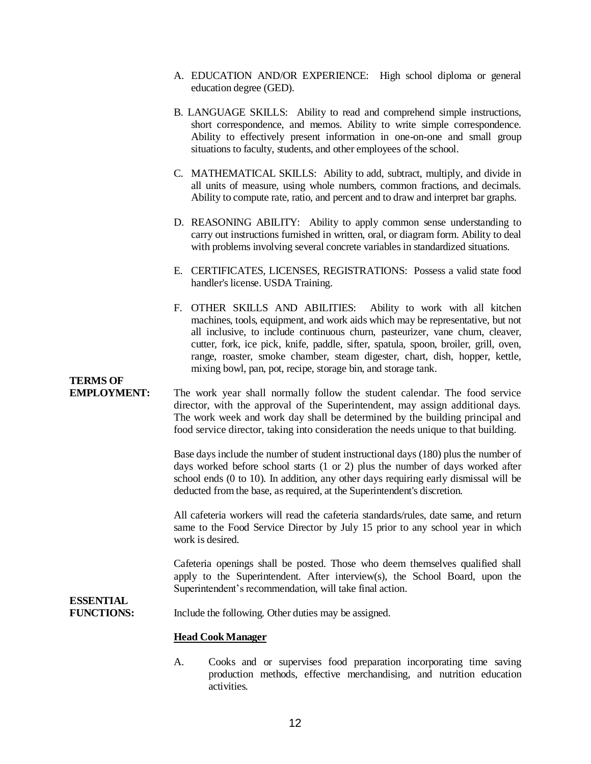- A. EDUCATION AND/OR EXPERIENCE: High school diploma or general education degree (GED).
- B. LANGUAGE SKILLS: Ability to read and comprehend simple instructions, short correspondence, and memos. Ability to write simple correspondence. Ability to effectively present information in one-on-one and small group situations to faculty, students, and other employees of the school.
- C. MATHEMATICAL SKILLS: Ability to add, subtract, multiply, and divide in all units of measure, using whole numbers, common fractions, and decimals. Ability to compute rate, ratio, and percent and to draw and interpret bar graphs.
- D. REASONING ABILITY: Ability to apply common sense understanding to carry out instructions furnished in written, oral, or diagram form. Ability to deal with problems involving several concrete variables in standardized situations.
- E. CERTIFICATES, LICENSES, REGISTRATIONS: Possess a valid state food handler's license. USDA Training.
- F. OTHER SKILLS AND ABILITIES: Ability to work with all kitchen machines, tools, equipment, and work aids which may be representative, but not all inclusive, to include continuous churn, pasteurizer, vane churn, cleaver, cutter, fork, ice pick, knife, paddle, sifter, spatula, spoon, broiler, grill, oven, range, roaster, smoke chamber, steam digester, chart, dish, hopper, kettle, mixing bowl, pan, pot, recipe, storage bin, and storage tank.

### **TERMS OF**

**EMPLOYMENT:** The work year shall normally follow the student calendar. The food service director, with the approval of the Superintendent, may assign additional days. The work week and work day shall be determined by the building principal and food service director, taking into consideration the needs unique to that building.

> Base days include the number of student instructional days (180) plus the number of days worked before school starts (1 or 2) plus the number of days worked after school ends (0 to 10). In addition, any other days requiring early dismissal will be deducted from the base, as required, at the Superintendent's discretion.

> All cafeteria workers will read the cafeteria standards/rules, date same, and return same to the Food Service Director by July 15 prior to any school year in which work is desired.

> Cafeteria openings shall be posted. Those who deem themselves qualified shall apply to the Superintendent. After interview(s), the School Board, upon the Superintendent's recommendation, will take final action.

### **ESSENTIAL**

**FUNCTIONS:** Include the following. Other duties may be assigned.

### **Head Cook Manager**

A. Cooks and or supervises food preparation incorporating time saving production methods, effective merchandising, and nutrition education activities.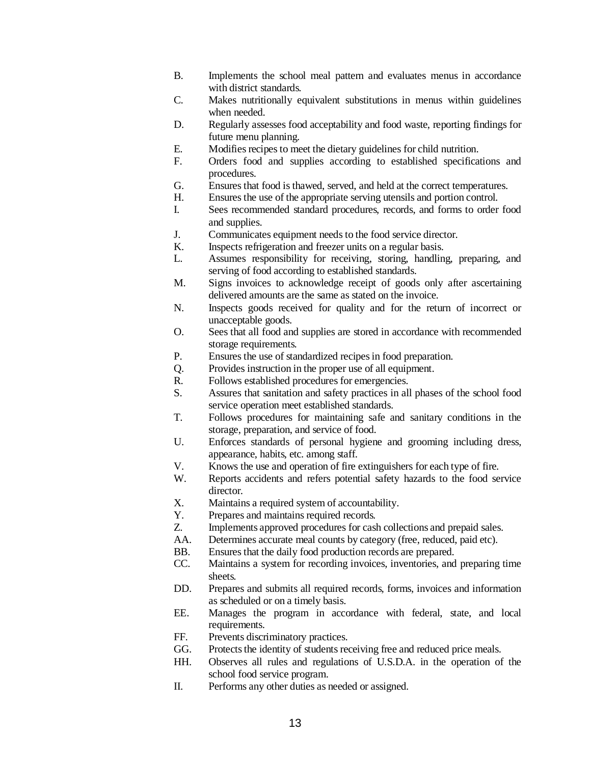- B. Implements the school meal pattern and evaluates menus in accordance with district standards.
- C. Makes nutritionally equivalent substitutions in menus within guidelines when needed.
- D. Regularly assesses food acceptability and food waste, reporting findings for future menu planning.
- E. Modifies recipes to meet the dietary guidelines for child nutrition.
- F. Orders food and supplies according to established specifications and procedures.
- G. Ensures that food is thawed, served, and held at the correct temperatures.
- H. Ensures the use of the appropriate serving utensils and portion control.
- I. Sees recommended standard procedures, records, and forms to order food and supplies.
- J. Communicates equipment needs to the food service director.
- K. Inspects refrigeration and freezer units on a regular basis.
- L. Assumes responsibility for receiving, storing, handling, preparing, and serving of food according to established standards.
- M. Signs invoices to acknowledge receipt of goods only after ascertaining delivered amounts are the same as stated on the invoice.
- N. Inspects goods received for quality and for the return of incorrect or unacceptable goods.
- O. Sees that all food and supplies are stored in accordance with recommended storage requirements.
- P. Ensures the use of standardized recipes in food preparation.
- Q. Provides instruction in the proper use of all equipment.
- R. Follows established procedures for emergencies.
- S. Assures that sanitation and safety practices in all phases of the school food service operation meet established standards.
- T. Follows procedures for maintaining safe and sanitary conditions in the storage, preparation, and service of food.
- U. Enforces standards of personal hygiene and grooming including dress, appearance, habits, etc. among staff.
- V. Knows the use and operation of fire extinguishers for each type of fire.
- W. Reports accidents and refers potential safety hazards to the food service director.
- X. Maintains a required system of accountability.
- Y. Prepares and maintains required records.
- Z. Implements approved procedures for cash collections and prepaid sales.
- AA. Determines accurate meal counts by category (free, reduced, paid etc).
- BB. Ensures that the daily food production records are prepared.
- CC. Maintains a system for recording invoices, inventories, and preparing time sheets.
- DD. Prepares and submits all required records, forms, invoices and information as scheduled or on a timely basis.
- EE. Manages the program in accordance with federal, state, and local requirements.
- FF. Prevents discriminatory practices.
- GG. Protects the identity of students receiving free and reduced price meals.
- HH. Observes all rules and regulations of U.S.D.A. in the operation of the school food service program.
- II. Performs any other duties as needed or assigned.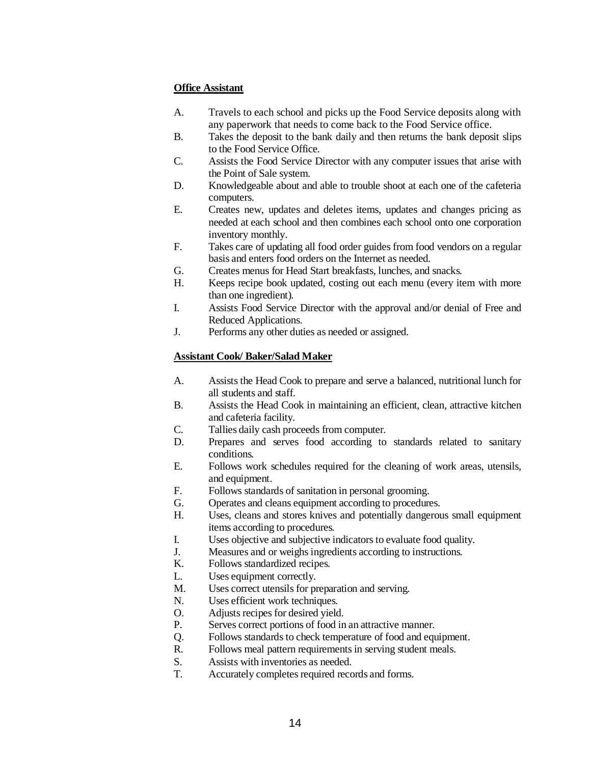### **Office Assistant**

- A. Travels to each school and picks up the Food Service deposits along with any paperwork that needs to come back to the Food Service office.
- B. Takes the deposit to the bank daily and then returns the bank deposit slips to the Food Service Office.
- C. Assists the Food Service Director with any computer issues that arise with the Point of Sale system.
- D. Knowledgeable about and able to trouble shoot at each one of the cafeteria computers.
- E. Creates new, updates and deletes items, updates and changes pricing as needed at each school and then combines each school onto one corporation inventory monthly.
- F. Takes care of updating all food order guides from food vendors on a regular basis and enters food orders on the Internet as needed.
- G. Creates menus for Head Start breakfasts, lunches, and snacks.
- H. Keeps recipe book updated, costing out each menu (every item with more than one ingredient).
- I. Assists Food Service Director with the approval and/or denial of Free and Reduced Applications.
- J. Performs any other duties as needed or assigned.

### **Assistant Cook/ Baker/Salad Maker**

- A. Assists the Head Cook to prepare and serve a balanced, nutritional lunch for all students and staff.
- B. Assists the Head Cook in maintaining an efficient, clean, attractive kitchen and cafeteria facility.
- C. Tallies daily cash proceeds from computer.
- D. Prepares and serves food according to standards related to sanitary conditions.
- E. Follows work schedules required for the cleaning of work areas, utensils, and equipment.
- F. Follows standards of sanitation in personal grooming.
- G. Operates and cleans equipment according to procedures.
- H. Uses, cleans and stores knives and potentially dangerous small equipment items according to procedures.
- I. Uses objective and subjective indicators to evaluate food quality.
- J. Measures and or weighs ingredients according to instructions.
- K. Follows standardized recipes.
- L. Uses equipment correctly.
- M. Uses correct utensils for preparation and serving.
- N. Uses efficient work techniques.
- O. Adjusts recipes for desired yield.
- P. Serves correct portions of food in an attractive manner.
- Q. Follows standards to check temperature of food and equipment.
- R. Follows meal pattern requirements in serving student meals.
- S. Assists with inventories as needed.
- T. Accurately completes required records and forms.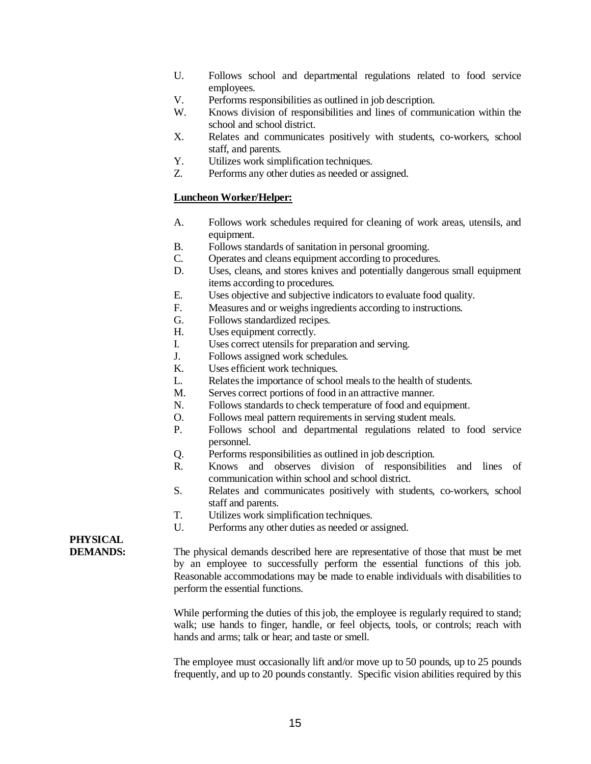- U. Follows school and departmental regulations related to food service employees.
- V. Performs responsibilities as outlined in job description.
- W. Knows division of responsibilities and lines of communication within the school and school district.
- X. Relates and communicates positively with students, co-workers, school staff, and parents.
- Y. Utilizes work simplification techniques.
- Z. Performs any other duties as needed or assigned.

### **Luncheon Worker/Helper:**

- A. Follows work schedules required for cleaning of work areas, utensils, and equipment.
- B. Follows standards of sanitation in personal grooming.
- C. Operates and cleans equipment according to procedures.
- D. Uses, cleans, and stores knives and potentially dangerous small equipment items according to procedures.
- E. Uses objective and subjective indicators to evaluate food quality.
- F. Measures and or weighs ingredients according to instructions.
- G. Follows standardized recipes.
- H. Uses equipment correctly.
- I. Uses correct utensils for preparation and serving.
- J. Follows assigned work schedules.
- K. Uses efficient work techniques.
- L. Relates the importance of school meals to the health of students.
- M. Serves correct portions of food in an attractive manner.
- N. Follows standards to check temperature of food and equipment.
- O. Follows meal pattern requirements in serving student meals.
- P. Follows school and departmental regulations related to food service personnel.
- Q. Performs responsibilities as outlined in job description.
- R. Knows and observes division of responsibilities and lines of communication within school and school district.
- S. Relates and communicates positively with students, co-workers, school staff and parents.
- T. Utilizes work simplification techniques.
- U. Performs any other duties as needed or assigned.

### **PHYSICAL**

**DEMANDS:** The physical demands described here are representative of those that must be met by an employee to successfully perform the essential functions of this job. Reasonable accommodations may be made to enable individuals with disabilities to perform the essential functions.

> While performing the duties of this job, the employee is regularly required to stand; walk; use hands to finger, handle, or feel objects, tools, or controls; reach with hands and arms; talk or hear; and taste or smell.

> The employee must occasionally lift and/or move up to 50 pounds, up to 25 pounds frequently, and up to 20 pounds constantly. Specific vision abilities required by this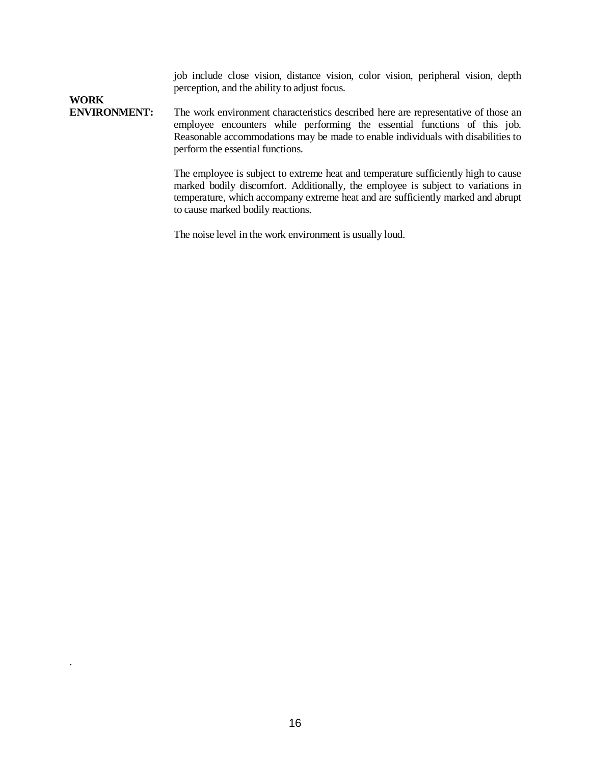job include close vision, distance vision, color vision, peripheral vision, depth perception, and the ability to adjust focus.

## **WORK**

.

**ENVIRONMENT:** The work environment characteristics described here are representative of those an employee encounters while performing the essential functions of this job. Reasonable accommodations may be made to enable individuals with disabilities to perform the essential functions.

> The employee is subject to extreme heat and temperature sufficiently high to cause marked bodily discomfort. Additionally, the employee is subject to variations in temperature, which accompany extreme heat and are sufficiently marked and abrupt to cause marked bodily reactions.

The noise level in the work environment is usually loud.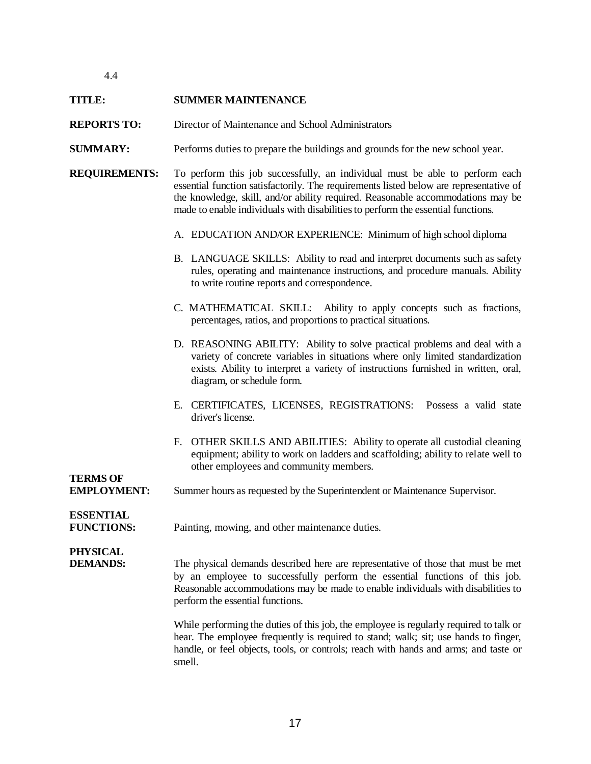### **TITLE: SUMMER MAINTENANCE**

- **REPORTS TO:** Director of Maintenance and School Administrators
- **SUMMARY:** Performs duties to prepare the buildings and grounds for the new school year.
- **REQUIREMENTS:** To perform this job successfully, an individual must be able to perform each essential function satisfactorily. The requirements listed below are representative of the knowledge, skill, and/or ability required. Reasonable accommodations may be made to enable individuals with disabilities to perform the essential functions.
	- A. EDUCATION AND/OR EXPERIENCE: Minimum of high school diploma
	- B. LANGUAGE SKILLS: Ability to read and interpret documents such as safety rules, operating and maintenance instructions, and procedure manuals. Ability to write routine reports and correspondence.
	- C. MATHEMATICAL SKILL: Ability to apply concepts such as fractions, percentages, ratios, and proportions to practical situations.
	- D. REASONING ABILITY: Ability to solve practical problems and deal with a variety of concrete variables in situations where only limited standardization exists. Ability to interpret a variety of instructions furnished in written, oral, diagram, or schedule form.
	- E. CERTIFICATES, LICENSES, REGISTRATIONS: Possess a valid state driver's license.
	- F. OTHER SKILLS AND ABILITIES: Ability to operate all custodial cleaning equipment; ability to work on ladders and scaffolding; ability to relate well to other employees and community members.

### **EMPLOYMENT:** Summer hours as requested by the Superintendent or Maintenance Supervisor.

### **ESSENTIAL**

**TERMS OF**

**FUNCTIONS:** Painting, mowing, and other maintenance duties.

### **PHYSICAL**

**DEMANDS:** The physical demands described here are representative of those that must be met by an employee to successfully perform the essential functions of this job. Reasonable accommodations may be made to enable individuals with disabilities to perform the essential functions.

> While performing the duties of this job, the employee is regularly required to talk or hear. The employee frequently is required to stand; walk; sit; use hands to finger, handle, or feel objects, tools, or controls; reach with hands and arms; and taste or smell.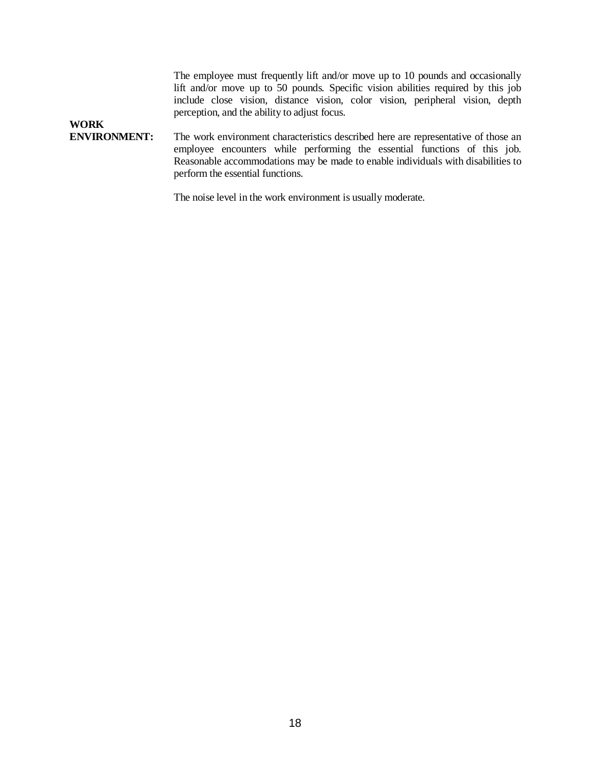The employee must frequently lift and/or move up to 10 pounds and occasionally lift and/or move up to 50 pounds. Specific vision abilities required by this job include close vision, distance vision, color vision, peripheral vision, depth perception, and the ability to adjust focus.

### **ENVIRONMENT:** The work environment characteristics described here are representative of those an employee encounters while performing the essential functions of this job. Reasonable accommodations may be made to enable individuals with disabilities to perform the essential functions.

**WORK**

The noise level in the work environment is usually moderate.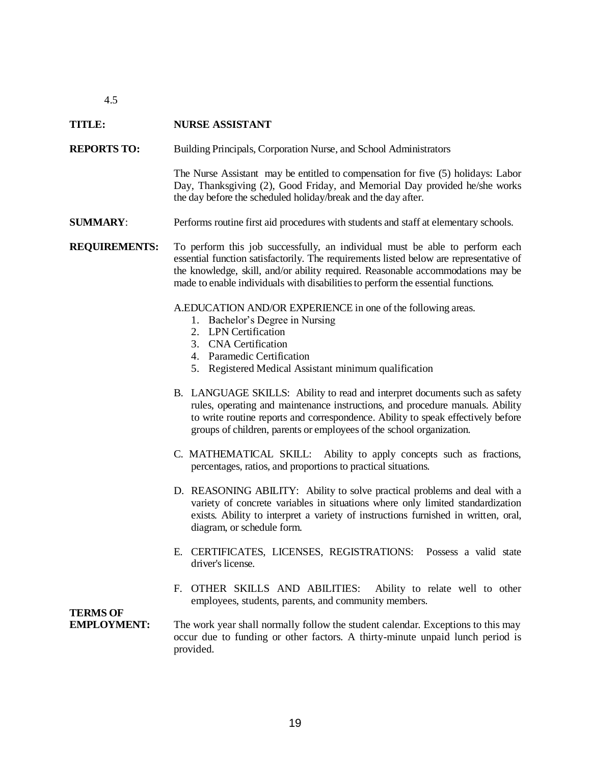### **TITLE: NURSE ASSISTANT**

**REPORTS TO:** Building Principals, Corporation Nurse, and School Administrators

The Nurse Assistant may be entitled to compensation for five (5) holidays: Labor Day, Thanksgiving (2), Good Friday, and Memorial Day provided he/she works the day before the scheduled holiday/break and the day after.

**SUMMARY**: Performs routine first aid procedures with students and staff at elementary schools.

**REQUIREMENTS:** To perform this job successfully, an individual must be able to perform each essential function satisfactorily. The requirements listed below are representative of the knowledge, skill, and/or ability required. Reasonable accommodations may be made to enable individuals with disabilities to perform the essential functions.

A.EDUCATION AND/OR EXPERIENCE in one of the following areas.

- 1. Bachelor's Degree in Nursing
- 2. LPN Certification
- 3. CNA Certification
- 4. Paramedic Certification
- 5. Registered Medical Assistant minimum qualification
- B. LANGUAGE SKILLS: Ability to read and interpret documents such as safety rules, operating and maintenance instructions, and procedure manuals. Ability to write routine reports and correspondence. Ability to speak effectively before groups of children, parents or employees of the school organization.
- C. MATHEMATICAL SKILL: Ability to apply concepts such as fractions, percentages, ratios, and proportions to practical situations.
- D. REASONING ABILITY: Ability to solve practical problems and deal with a variety of concrete variables in situations where only limited standardization exists. Ability to interpret a variety of instructions furnished in written, oral, diagram, or schedule form.
- E. CERTIFICATES, LICENSES, REGISTRATIONS: Possess a valid state driver's license.
- F. OTHER SKILLS AND ABILITIES: Ability to relate well to other employees, students, parents, and community members.

### **TERMS OF**

**EMPLOYMENT:** The work year shall normally follow the student calendar. Exceptions to this may occur due to funding or other factors. A thirty-minute unpaid lunch period is provided.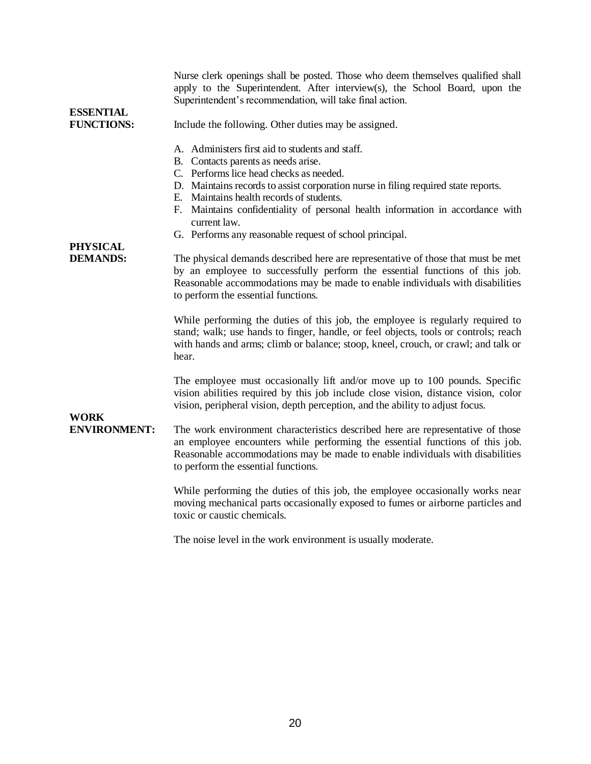| <b>ESSENTIAL</b>                   | Nurse clerk openings shall be posted. Those who deem themselves qualified shall<br>apply to the Superintendent. After interview(s), the School Board, upon the<br>Superintendent's recommendation, will take final action.                                                                                                                                                                                                                                                                                           |
|------------------------------------|----------------------------------------------------------------------------------------------------------------------------------------------------------------------------------------------------------------------------------------------------------------------------------------------------------------------------------------------------------------------------------------------------------------------------------------------------------------------------------------------------------------------|
| <b>FUNCTIONS:</b>                  | Include the following. Other duties may be assigned.                                                                                                                                                                                                                                                                                                                                                                                                                                                                 |
| <b>PHYSICAL</b><br><b>DEMANDS:</b> | A. Administers first aid to students and staff.<br>B. Contacts parents as needs arise.<br>C. Performs lice head checks as needed.<br>D. Maintains records to assist corporation nurse in filing required state reports.<br>E. Maintains health records of students.<br>F. Maintains confidentiality of personal health information in accordance with<br>current law.<br>G. Performs any reasonable request of school principal.<br>The physical demands described here are representative of those that must be met |
|                                    | by an employee to successfully perform the essential functions of this job.<br>Reasonable accommodations may be made to enable individuals with disabilities<br>to perform the essential functions.<br>While performing the duties of this job, the employee is regularly required to                                                                                                                                                                                                                                |
|                                    | stand; walk; use hands to finger, handle, or feel objects, tools or controls; reach<br>with hands and arms; climb or balance; stoop, kneel, crouch, or crawl; and talk or<br>hear.                                                                                                                                                                                                                                                                                                                                   |
|                                    | The employee must occasionally lift and/or move up to 100 pounds. Specific<br>vision abilities required by this job include close vision, distance vision, color<br>vision, peripheral vision, depth perception, and the ability to adjust focus.                                                                                                                                                                                                                                                                    |
| <b>WORK</b><br><b>ENVIRONMENT:</b> | The work environment characteristics described here are representative of those<br>an employee encounters while performing the essential functions of this job.<br>Reasonable accommodations may be made to enable individuals with disabilities<br>to perform the essential functions.                                                                                                                                                                                                                              |
|                                    | While performing the duties of this job, the employee occasionally works near<br>moving mechanical parts occasionally exposed to fumes or airborne particles and<br>toxic or caustic chemicals.                                                                                                                                                                                                                                                                                                                      |
|                                    | The noise level in the work environment is usually moderate.                                                                                                                                                                                                                                                                                                                                                                                                                                                         |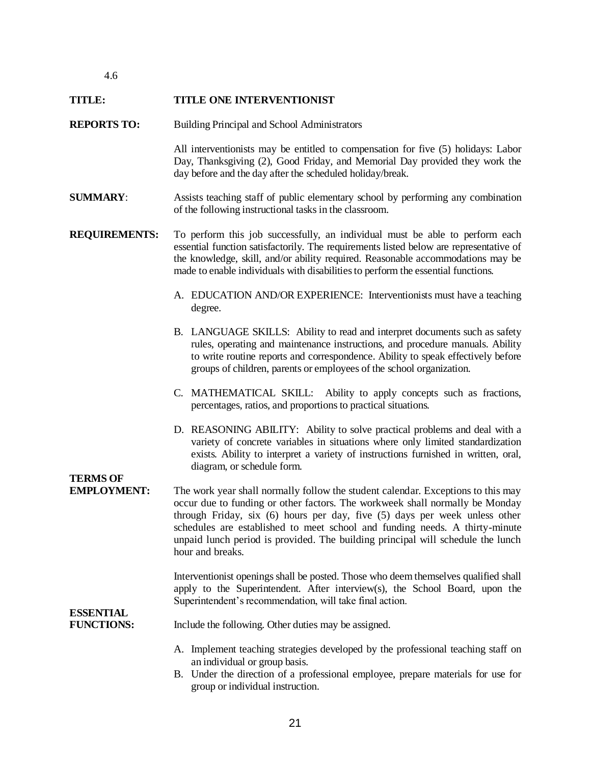#### **TITLE: TITLE ONE INTERVENTIONIST**

**REPORTS TO:** Building Principal and School Administrators

All interventionists may be entitled to compensation for five (5) holidays: Labor Day, Thanksgiving (2), Good Friday, and Memorial Day provided they work the day before and the day after the scheduled holiday/break.

- **SUMMARY**: Assists teaching staff of public elementary school by performing any combination of the following instructional tasks in the classroom.
- **REQUIREMENTS:** To perform this job successfully, an individual must be able to perform each essential function satisfactorily. The requirements listed below are representative of the knowledge, skill, and/or ability required. Reasonable accommodations may be made to enable individuals with disabilities to perform the essential functions.
	- A. EDUCATION AND/OR EXPERIENCE: Interventionists must have a teaching degree.
	- B. LANGUAGE SKILLS: Ability to read and interpret documents such as safety rules, operating and maintenance instructions, and procedure manuals. Ability to write routine reports and correspondence. Ability to speak effectively before groups of children, parents or employees of the school organization.
	- C. MATHEMATICAL SKILL: Ability to apply concepts such as fractions, percentages, ratios, and proportions to practical situations.
	- D. REASONING ABILITY: Ability to solve practical problems and deal with a variety of concrete variables in situations where only limited standardization exists. Ability to interpret a variety of instructions furnished in written, oral, diagram, or schedule form.

# **TERMS OF**

**EMPLOYMENT:** The work year shall normally follow the student calendar. Exceptions to this may occur due to funding or other factors. The workweek shall normally be Monday through Friday, six (6) hours per day, five (5) days per week unless other schedules are established to meet school and funding needs. A thirty-minute unpaid lunch period is provided. The building principal will schedule the lunch hour and breaks.

> Interventionist openings shall be posted. Those who deem themselves qualified shall apply to the Superintendent. After interview(s), the School Board, upon the Superintendent's recommendation, will take final action.

### **ESSENTIAL**

**FUNCTIONS:** Include the following. Other duties may be assigned.

- A. Implement teaching strategies developed by the professional teaching staff on an individual or group basis.
- B. Under the direction of a professional employee, prepare materials for use for group or individual instruction.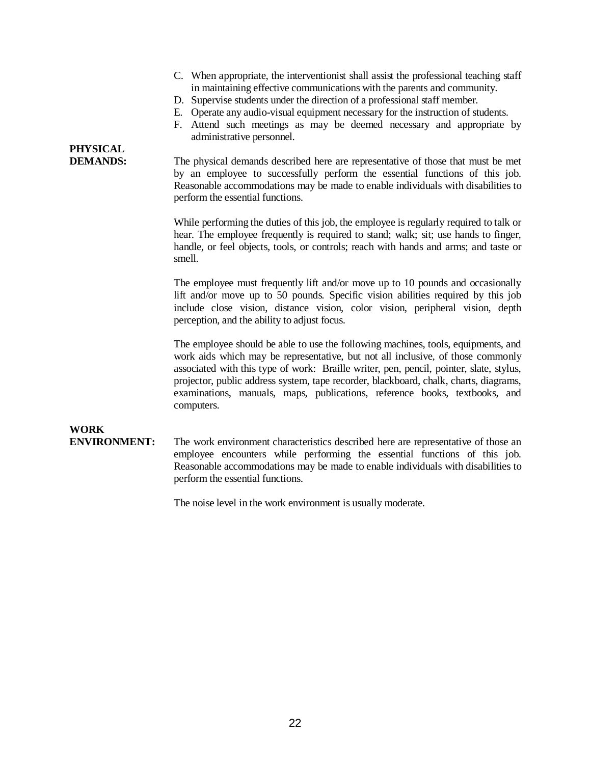- C. When appropriate, the interventionist shall assist the professional teaching staff in maintaining effective communications with the parents and community.
- D. Supervise students under the direction of a professional staff member.
- E. Operate any audio-visual equipment necessary for the instruction of students.
- F. Attend such meetings as may be deemed necessary and appropriate by administrative personnel.

# **PHYSICAL**

**DEMANDS:** The physical demands described here are representative of those that must be met by an employee to successfully perform the essential functions of this job. Reasonable accommodations may be made to enable individuals with disabilities to perform the essential functions.

> While performing the duties of this job, the employee is regularly required to talk or hear. The employee frequently is required to stand; walk; sit; use hands to finger, handle, or feel objects, tools, or controls; reach with hands and arms; and taste or smell.

> The employee must frequently lift and/or move up to 10 pounds and occasionally lift and/or move up to 50 pounds. Specific vision abilities required by this job include close vision, distance vision, color vision, peripheral vision, depth perception, and the ability to adjust focus.

> The employee should be able to use the following machines, tools, equipments, and work aids which may be representative, but not all inclusive, of those commonly associated with this type of work: Braille writer, pen, pencil, pointer, slate, stylus, projector, public address system, tape recorder, blackboard, chalk, charts, diagrams, examinations, manuals, maps, publications, reference books, textbooks, and computers.

# **WORK**

**ENVIRONMENT:** The work environment characteristics described here are representative of those an employee encounters while performing the essential functions of this job. Reasonable accommodations may be made to enable individuals with disabilities to perform the essential functions.

The noise level in the work environment is usually moderate.